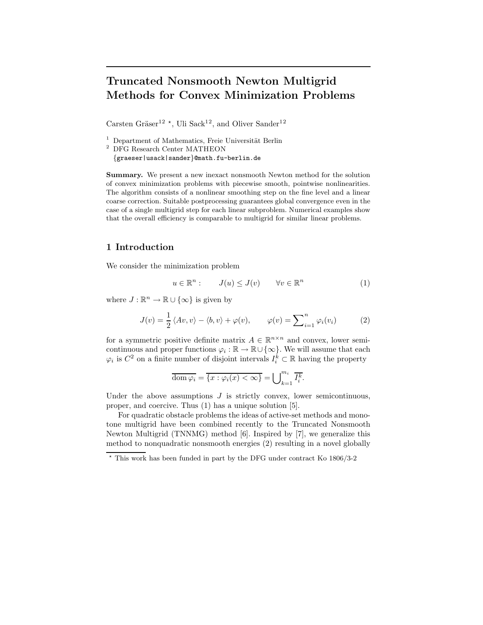# Truncated Nonsmooth Newton Multigrid Methods for Convex Minimization Problems

Carsten Gräser<sup>12</sup><sup>\*</sup>, Uli Sack<sup>12</sup>, and Oliver Sander<sup>12</sup>

 $1$  Department of Mathematics, Freie Universität Berlin

{graeser|usack|sander}@math.fu-berlin.de

Summary. We present a new inexact nonsmooth Newton method for the solution of convex minimization problems with piecewise smooth, pointwise nonlinearities. The algorithm consists of a nonlinear smoothing step on the fine level and a linear coarse correction. Suitable postprocessing guarantees global convergence even in the case of a single multigrid step for each linear subproblem. Numerical examples show that the overall efficiency is comparable to multigrid for similar linear problems.

## 1 Introduction

We consider the minimization problem

$$
u \in \mathbb{R}^n: \qquad J(u) \le J(v) \qquad \forall v \in \mathbb{R}^n \tag{1}
$$

where  $J : \mathbb{R}^n \to \mathbb{R} \cup {\infty}$  is given by

$$
J(v) = \frac{1}{2} \langle Av, v \rangle - \langle b, v \rangle + \varphi(v), \qquad \varphi(v) = \sum_{i=1}^{n} \varphi_i(v_i)
$$
 (2)

for a symmetric positive definite matrix  $A \in \mathbb{R}^{n \times n}$  and convex, lower semicontinuous and proper functions  $\varphi_i : \mathbb{R} \to \mathbb{R} \cup \{\infty\}$ . We will assume that each  $\varphi_i$  is  $C^2$  on a finite number of disjoint intervals  $I_i^{\hat{k}} \subset \mathbb{R}$  having the property

$$
\overline{\text{dom }\varphi_i} = \overline{\{x : \varphi_i(x) < \infty\}} = \bigcup_{k=1}^{m_i} \overline{I_i^k}.
$$

Under the above assumptions  $J$  is strictly convex, lower semicontinuous, proper, and coercive. Thus (1) has a unique solution [5].

For quadratic obstacle problems the ideas of active-set methods and monotone multigrid have been combined recently to the Truncated Nonsmooth Newton Multigrid (TNNMG) method [6]. Inspired by [7], we generalize this method to nonquadratic nonsmooth energies (2) resulting in a novel globally

<sup>2</sup> DFG Research Center MATHEON

 $\star$  This work has been funded in part by the DFG under contract Ko 1806/3-2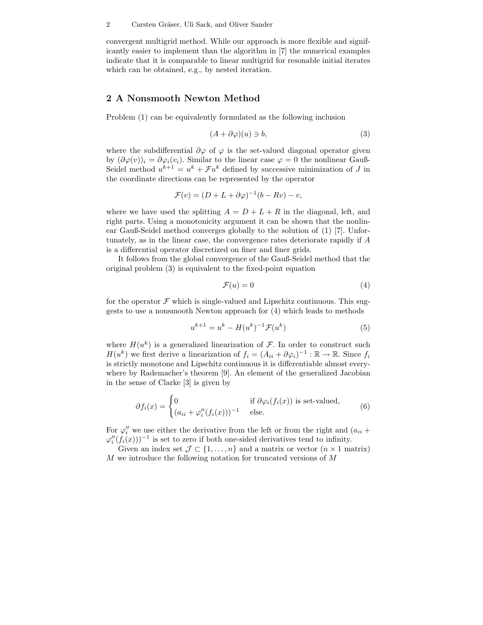convergent multigrid method. While our approach is more flexible and significantly easier to implement than the algorithm in [7] the numerical examples indicate that it is comparable to linear multigrid for resonable initial iterates which can be obtained, e.g., by nested iteration.

#### 2 A Nonsmooth Newton Method

Problem (1) can be equivalently formulated as the following inclusion

$$
(A + \partial \varphi)(u) \ni b,\tag{3}
$$

where the subdifferential  $\partial \varphi$  of  $\varphi$  is the set-valued diagonal operator given by  $(\partial \varphi(v))_i = \partial \varphi_i(v_i)$ . Similar to the linear case  $\varphi = 0$  the nonlinear Gauß-Seidel method  $u^{k+1} = u^k + \mathcal{F}u^k$  defined by successive minimization of J in the coordinate directions can be represented by the operator

$$
\mathcal{F}(v) = (D + L + \partial \varphi)^{-1} (b - Rv) - v,
$$

where we have used the splitting  $A = D + L + R$  in the diagonal, left, and right parts. Using a monotonicity argument it can be shown that the nonlinear Gauß-Seidel method converges globally to the solution of (1) [7]. Unfortunately, as in the linear case, the convergence rates deteriorate rapidly if A is a differential operator discretized on finer and finer grids.

It follows from the global convergence of the Gauß-Seidel method that the original problem (3) is equivalent to the fixed-point equation

$$
\mathcal{F}(u) = 0\tag{4}
$$

for the operator  $\mathcal F$  which is single-valued and Lipschitz continuous. This suggests to use a nonsmooth Newton approach for (4) which leads to methods

$$
u^{k+1} = u^k - H(u^k)^{-1} \mathcal{F}(u^k)
$$
 (5)

where  $H(u^k)$  is a generalized linearization of  $\mathcal F$ . In order to construct such  $H(u^k)$  we first derive a linearization of  $f_i = (A_{ii} + \partial \varphi_i)^{-1} : \mathbb{R} \to \mathbb{R}$ . Since  $f_i$ is strictly monotone and Lipschitz continuous it is differentiable almost everywhere by Rademacher's theorem [9]. An element of the generalized Jacobian in the sense of Clarke [3] is given by

$$
\partial f_i(x) = \begin{cases} 0 & \text{if } \partial \varphi_i(f_i(x)) \text{ is set-valued,} \\ (a_{ii} + \varphi''_i(f_i(x)))^{-1} & \text{else.} \end{cases}
$$
(6)

For  $\varphi''_i$  we use either the derivative from the left or from the right and  $(a_{ii} + a_{ii})$  $\varphi''_i(f_i(x)))^{-1}$  is set to zero if both one-sided derivatives tend to infinity.

Given an index set  $\mathcal{J} \subset \{1, \ldots, n\}$  and a matrix or vector  $(n \times 1 \text{ matrix})$ M we introduce the following notation for truncated versions of M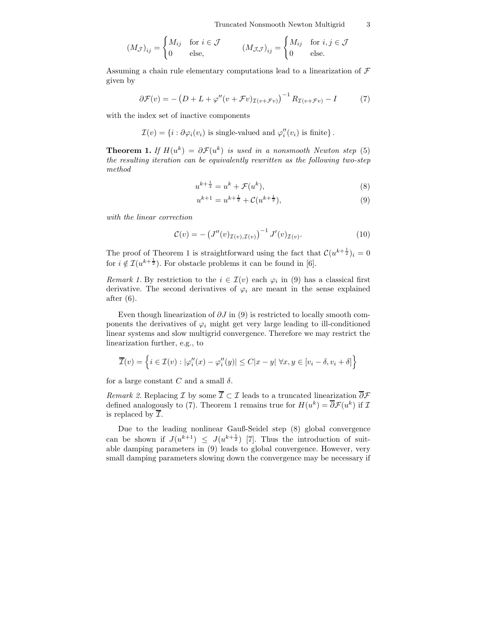$$
(M_{\mathcal{J}})_{ij} = \begin{cases} M_{ij} & \text{for } i \in \mathcal{J} \\ 0 & \text{else,} \end{cases} \qquad (M_{\mathcal{J},\mathcal{J}})_{ij} = \begin{cases} M_{ij} & \text{for } i, j \in \mathcal{J} \\ 0 & \text{else.} \end{cases}
$$

Assuming a chain rule elementary computations lead to a linearization of  $\mathcal F$ given by

$$
\partial \mathcal{F}(v) = -\left(D + L + \varphi''(v + \mathcal{F}v)_{\mathcal{I}(v + \mathcal{F}v)}\right)^{-1} R_{\mathcal{I}(v + \mathcal{F}v)} - I \tag{7}
$$

with the index set of inactive components

 $\mathcal{I}(v) = \{i : \partial \varphi_i(v_i) \text{ is single-valued and } \varphi''_i(v_i) \text{ is finite}\}.$ 

**Theorem 1.** If  $H(u^k) = \partial \mathcal{F}(u^k)$  is used in a nonsmooth Newton step (5) the resulting iteration can be equivalently rewritten as the following two-step method

$$
u^{k+\frac{1}{2}} = u^k + \mathcal{F}(u^k),\tag{8}
$$

$$
u^{k+1} = u^{k+\frac{1}{2}} + \mathcal{C}(u^{k+\frac{1}{2}}),\tag{9}
$$

with the linear correction

$$
\mathcal{C}(v) = -\left(J''(v)_{\mathcal{I}(v),\mathcal{I}(v)}\right)^{-1} J'(v)_{\mathcal{I}(v)}.
$$
\n(10)

The proof of Theorem 1 is straightforward using the fact that  $\mathcal{C}(u^{k+\frac{1}{2}})_i = 0$ for  $i \notin \mathcal{I}(u^{k+\frac{1}{2}})$ . For obstacle problems it can be found in [6].

Remark 1. By restriction to the  $i \in \mathcal{I}(v)$  each  $\varphi_i$  in (9) has a classical first derivative. The second derivatives of  $\varphi_i$  are meant in the sense explained after (6).

Even though linearization of  $\partial J$  in (9) is restricted to locally smooth components the derivatives of  $\varphi_i$  might get very large leading to ill-conditioned linear systems and slow multigrid convergence. Therefore we may restrict the linearization further, e.g., to

$$
\overline{\mathcal{I}}(v) = \left\{ i \in \mathcal{I}(v) : |\varphi_i''(x) - \varphi_i''(y)| \le C|x - y| \; \forall x, y \in [v_i - \delta, v_i + \delta] \right\}
$$

for a large constant C and a small  $\delta$ .

Remark 2. Replacing I by some  $\overline{\mathcal{I}} \subset \mathcal{I}$  leads to a truncated linearization  $\overline{\partial} \mathcal{F}$ defined analogously to (7). Theorem 1 remains true for  $H(u^k) = \overline{\partial} \mathcal{F}(u^k)$  if  $\mathcal{I}$ is replaced by  $\mathcal{I}.$ 

Due to the leading nonlinear Gauß-Seidel step (8) global convergence can be shown if  $J(u^{k+1}) \leq J(u^{k+\frac{1}{2}})$  [7]. Thus the introduction of suitable damping parameters in (9) leads to global convergence. However, very small damping parameters slowing down the convergence may be necessary if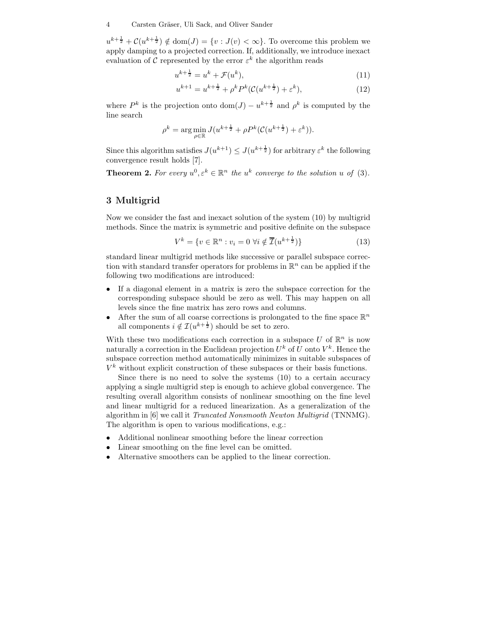$u^{k+\frac{1}{2}}+\mathcal{C}(u^{k+\frac{1}{2}})\notin \text{dom}(J)=\{v:J(v)<\infty\}.$  To overcome this problem we apply damping to a projected correction. If, additionally, we introduce inexact evaluation of  $\mathcal C$  represented by the error  $\varepsilon^k$  the algorithm reads

$$
u^{k+\frac{1}{2}} = u^k + \mathcal{F}(u^k),\tag{11}
$$

$$
u^{k+1} = u^{k + \frac{1}{2}} + \rho^k P^k (\mathcal{C}(u^{k + \frac{1}{2}}) + \varepsilon^k), \tag{12}
$$

where  $P^k$  is the projection onto  $\text{dom}(J) - u^{k + \frac{1}{2}}$  and  $\rho^k$  is computed by the line search

$$
\rho^k = \arg\min_{\rho \in \mathbb{R}} J(u^{k+\frac{1}{2}} + \rho P^k(\mathcal{C}(u^{k+\frac{1}{2}}) + \varepsilon^k)).
$$

Since this algorithm satisfies  $J(u^{k+1}) \leq J(u^{k+\frac{1}{2}})$  for arbitrary  $\varepsilon^k$  the following convergence result holds [7].

**Theorem 2.** For every  $u^0, \varepsilon^k \in \mathbb{R}^n$  the  $u^k$  converge to the solution u of (3).

## 3 Multigrid

Now we consider the fast and inexact solution of the system (10) by multigrid methods. Since the matrix is symmetric and positive definite on the subspace

$$
V^k = \{ v \in \mathbb{R}^n : v_i = 0 \,\,\forall i \notin \overline{\mathcal{I}}(u^{k + \frac{1}{2}}) \}
$$
\n
$$
(13)
$$

standard linear multigrid methods like successive or parallel subspace correction with standard transfer operators for problems in  $\mathbb{R}^n$  can be applied if the following two modifications are introduced:

- If a diagonal element in a matrix is zero the subspace correction for the corresponding subspace should be zero as well. This may happen on all levels since the fine matrix has zero rows and columns.
- After the sum of all coarse corrections is prolongated to the fine space  $\mathbb{R}^n$ all components  $i \notin \mathcal{I}(u^{k+\frac{1}{2}})$  should be set to zero.

With these two modifications each correction in a subspace  $U$  of  $\mathbb{R}^n$  is now naturally a correction in the Euclidean projection  $U^k$  of U onto  $V^k$ . Hence the subspace correction method automatically minimizes in suitable subspaces of  $V<sup>k</sup>$  without explicit construction of these subspaces or their basis functions.

Since there is no need to solve the systems (10) to a certain accuracy applying a single multigrid step is enough to achieve global convergence. The resulting overall algorithm consists of nonlinear smoothing on the fine level and linear multigrid for a reduced linearization. As a generalization of the algorithm in [6] we call it Truncated Nonsmooth Newton Multigrid (TNNMG). The algorithm is open to various modifications, e.g.:

- Additional nonlinear smoothing before the linear correction
- Linear smoothing on the fine level can be omitted.
- Alternative smoothers can be applied to the linear correction.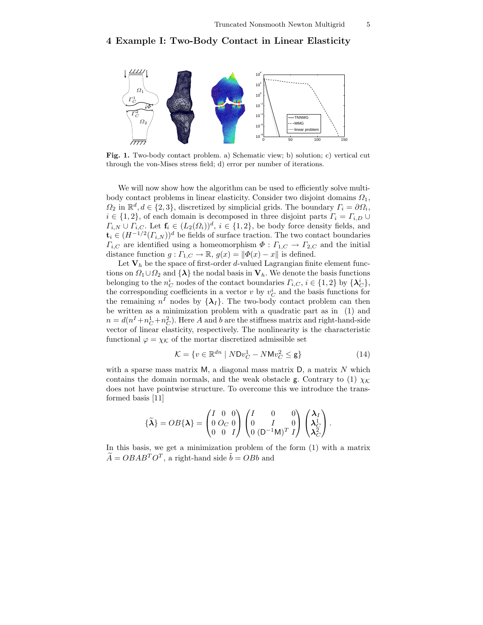## 4 Example I: Two-Body Contact in Linear Elasticity



Fig. 1. Two-body contact problem. a) Schematic view; b) solution; c) vertical cut through the von-Mises stress field; d) error per number of iterations.

We will now show how the algorithm can be used to efficiently solve multibody contact problems in linear elasticity. Consider two disjoint domains  $\Omega_1$ ,  $\Omega_2$  in  $\mathbb{R}^d, d \in \{2,3\}$ , discretized by simplicial grids. The boundary  $\Gamma_i = \partial \Omega_i$ ,  $i \in \{1,2\}$ , of each domain is decomposed in three disjoint parts  $\Gamma_i = \Gamma_{i,D} \cup$  $\Gamma_{i,N} \cup \Gamma_{i,C}$ . Let  $\mathbf{f}_i \in (L_2(\Omega_i))^d$ ,  $i \in \{1,2\}$ , be body force density fields, and  $\mathbf{t}_i \in (H^{-1/2}(\Gamma_{i,N}))^d$  be fields of surface traction. The two contact boundaries  $\Gamma_{i,C}$  are identified using a homeomorphism  $\Phi : \Gamma_{1,C} \to \Gamma_{2,C}$  and the initial distance function  $g: \Gamma_{1,C} \to \mathbb{R}, g(x) = ||\Phi(x) - x||$  is defined.

Let  $V_h$  be the space of first-order d-valued Lagrangian finite element functions on  $\Omega_1 \cup \Omega_2$  and  $\{\lambda\}$  the nodal basis in  $V_h$ . We denote the basis functions belonging to the  $n_C^i$  nodes of the contact boundaries  $\Gamma_{i,C}$ ,  $i \in \{1,2\}$  by  $\{\lambda_C^i\}$ , the corresponding coefficients in a vector  $v$  by  $v_C^i$  and the basis functions for the remaining  $n^I$  nodes by  $\{\lambda_I\}$ . The two-body contact problem can then be written as a minimization problem with a quadratic part as in (1) and  $n = d(n^I + n_C^1 + n_C^2)$ . Here A and b are the stiffness matrix and right-hand-side vector of linear elasticity, respectively. The nonlinearity is the characteristic functional  $\varphi = \chi_K$  of the mortar discretized admissible set

$$
\mathcal{K} = \{ v \in \mathbb{R}^{dn} \mid N \mathsf{D} v_C^1 - N \mathsf{M} v_C^2 \le \mathsf{g} \} \tag{14}
$$

with a sparse mass matrix  $M$ , a diagonal mass matrix  $D$ , a matrix  $N$  which contains the domain normals, and the weak obstacle g. Contrary to (1)  $\chi_K$ does not have pointwise structure. To overcome this we introduce the transformed basis [11]

$$
\{\widetilde{\boldsymbol{\lambda}}\} = OB\{\boldsymbol{\lambda}\} = \begin{pmatrix} I & 0 & 0 \\ 0 & O_C & 0 \\ 0 & 0 & I \end{pmatrix} \begin{pmatrix} I & 0 & 0 \\ 0 & I & 0 \\ 0 & (D^{-1}M)^T & I \end{pmatrix} \begin{pmatrix} \boldsymbol{\lambda}_I \\ \boldsymbol{\lambda}_C^1 \\ \boldsymbol{\lambda}_C^2 \end{pmatrix}.
$$

In this basis, we get a minimization problem of the form (1) with a matrix  $\widetilde{A} = OBAB^{T}O^{T}$ , a right-hand side  $\widetilde{b} = OBb$  and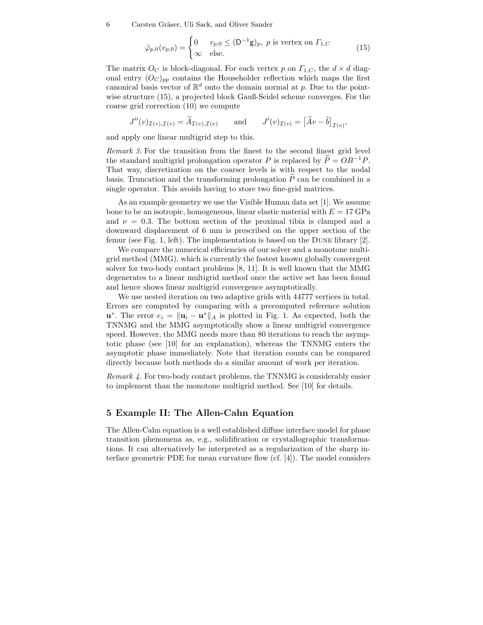6 Carsten Gräser, Uli Sack, and Oliver Sander

$$
\tilde{\varphi}_{p,0}(v_{p,0}) = \begin{cases} 0 & v_{p,0} \le (\mathsf{D}^{-1}\mathsf{g})_p, \ p \text{ is vertex on } \Gamma_{1,C} \\ \infty & \text{else.} \end{cases}
$$
(15)

The matrix  $O_C$  is block-diagonal. For each vertex p on  $\Gamma_{1,C}$ , the  $d \times d$  diagonal entry  $(O_C)_{pp}$  contains the Householder reflection which maps the first canonical basis vector of  $\mathbb{R}^d$  onto the domain normal at p. Due to the pointwise structure (15), a projected block Gauß-Seidel scheme converges. For the coarse grid correction (10) we compute

$$
J''(v)_{\mathcal{I}(v),\mathcal{I}(v)} = \widetilde{A}_{\mathcal{I}(v),\mathcal{I}(v)} \quad \text{and} \quad J'(v)_{\mathcal{I}(v)} = \left[\widetilde{A}v - \widetilde{b}\right]_{\mathcal{I}(v)},
$$

and apply one linear multigrid step to this.

Remark 3. For the transition from the finest to the second finest grid level the standard multigrid prolongation operator P is replaced by  $\tilde{P} = OB^{-1}P$ . That way, discretization on the coarser levels is with respect to the nodal basis. Truncation and the transforming prolongation  $P$  can be combined in a single operator. This avoids having to store two fine-grid matrices.

As an example geometry we use the Visible Human data set [1]. We assume bone to be an isotropic, homogeneous, linear elastic material with  $E = 17 \text{ GPa}$ and  $\nu = 0.3$ . The bottom section of the proximal tibia is clamped and a downward displacement of 6 mm is prescribed on the upper section of the femur (see Fig. 1, left). The implementation is based on the Dune library [2].

We compare the numerical efficiencies of our solver and a monotone multigrid method (MMG), which is currently the fastest known globally convergent solver for two-body contact problems [8, 11]. It is well known that the MMG degenerates to a linear multigrid method once the active set has been found and hence shows linear multigrid convergence asymptotically.

We use nested iteration on two adaptive grids with 44777 vertices in total. Errors are computed by comparing with a precomputed reference solution u<sup>\*</sup>. The error  $e_i = ||\mathbf{u}_i - \mathbf{u}^*||_A$  is plotted in Fig. 1. As expected, both the TNNMG and the MMG asymptotically show a linear multigrid convergence speed. However, the MMG needs more than 80 iterations to reach the asymptotic phase (see [10] for an explanation), whereas the TNNMG enters the asymptotic phase immediately. Note that iteration counts can be compared directly because both methods do a similar amount of work per iteration.

Remark 4. For two-body contact problems, the TNNMG is considerably easier to implement than the monotone multigrid method. See [10] for details.

#### 5 Example II: The Allen-Cahn Equation

The Allen-Cahn equation is a well established diffuse interface model for phase transition phenomena as, e.g., solidification or crystallographic transformations. It can alternatively be interpreted as a regularization of the sharp interface geometric PDE for mean curvature flow (cf. [4]). The model considers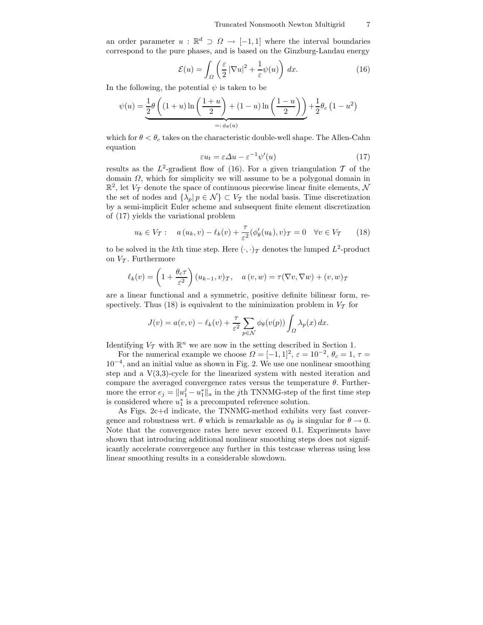an order parameter  $u : \mathbb{R}^d \supset \Omega \to [-1,1]$  where the interval boundaries correspond to the pure phases, and is based on the Ginzburg-Landau energy

$$
\mathcal{E}(u) = \int_{\Omega} \left( \frac{\varepsilon}{2} |\nabla u|^2 + \frac{1}{\varepsilon} \psi(u) \right) dx.
$$
 (16)

In the following, the potential  $\psi$  is taken to be

$$
\psi(u) = \underbrace{\frac{1}{2}\theta\left((1+u)\ln\left(\frac{1+u}{2}\right)+(1-u)\ln\left(\frac{1-u}{2}\right)\right)}_{=: \phi_{\theta}(u)} + \frac{1}{2}\theta_c\left(1-u^2\right)
$$

which for  $\theta < \theta_c$  takes on the characteristic double-well shape. The Allen-Cahn equation

$$
\varepsilon u_t = \varepsilon \Delta u - \varepsilon^{-1} \psi'(u) \tag{17}
$$

results as the  $L^2$ -gradient flow of (16). For a given triangulation T of the domain  $\Omega$ , which for simplicity we will assume to be a polygonal domain in  $\mathbb{R}^2$ , let  $V_T$  denote the space of continuous piecewise linear finite elements, N the set of nodes and  $\{\lambda_p | p \in \mathcal{N}\}\subset V_{\mathcal{T}}$  the nodal basis. Time discretization by a semi-implicit Euler scheme and subsequent finite element discretization of (17) yields the variational problem

$$
u_k \in V_T: \quad a(u_k, v) - \ell_k(v) + \frac{\tau}{\varepsilon^2} (\phi_\theta'(u_k), v)_T = 0 \quad \forall v \in V_T \tag{18}
$$

to be solved in the k<sup>th</sup> time step. Here  $(\cdot, \cdot)$  denotes the lumped  $L^2$ -product on  $V_T$ . Furthermore

$$
\ell_k(v) = \left(1 + \frac{\theta_c \tau}{\varepsilon^2}\right) (u_{k-1}, v)_{\mathcal{T}}, \quad a(v, w) = \tau(\nabla v, \nabla w) + (v, w)_{\mathcal{T}}
$$

are a linear functional and a symmetric, positive definite bilinear form, respectively. Thus (18) is equivalent to the minimization problem in  $V<sub>T</sub>$  for

$$
J(v) = a(v, v) - \ell_k(v) + \frac{\tau}{\varepsilon^2} \sum_{p \in \mathcal{N}} \phi_\theta(v(p)) \int_{\Omega} \lambda_p(x) dx.
$$

Identifying  $V_T$  with  $\mathbb{R}^n$  we are now in the setting described in Section 1.

For the numerical example we choose  $\Omega = [-1, 1]^2$ ,  $\varepsilon = 10^{-2}$ ,  $\theta_c = 1$ ,  $\tau =$ 10−<sup>4</sup> , and an initial value as shown in Fig. 2. We use one nonlinear smoothing step and a  $V(3,3)$ -cycle for the linearized system with nested iteration and compare the averaged convergence rates versus the temperature  $\theta$ . Furthermore the error  $e_j = ||u_1^j - u_1^*||_a$  in the *j*th TNNMG-step of the first time step is considered where  $u_1^*$  is a precomputed reference solution.

As Figs. 2c+d indicate, the TNNMG-method exhibits very fast convergence and robustness wrt.  $\theta$  which is remarkable as  $\phi_{\theta}$  is singular for  $\theta \to 0$ . Note that the convergence rates here never exceed 0.1. Experiments have shown that introducing additional nonlinear smoothing steps does not significantly accelerate convergence any further in this testcase whereas using less linear smoothing results in a considerable slowdown.